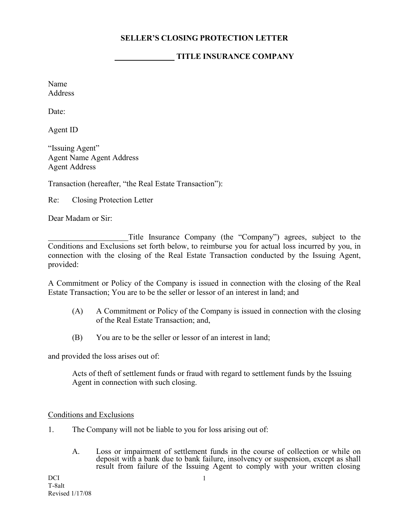## **SELLER'S CLOSING PROTECTION LETTER**

## **TITLE INSURANCE COMPANY**

Name **Address** 

Date:

Agent ID

"Issuing Agent" Agent Name Agent Address Agent Address

Transaction (hereafter, "the Real Estate Transaction"):

Re: Closing Protection Letter

Dear Madam or Sir:

Title Insurance Company (the "Company") agrees, subject to the Conditions and Exclusions set forth below, to reimburse you for actual loss incurred by you, in connection with the closing of the Real Estate Transaction conducted by the Issuing Agent, provided:

A Commitment or Policy of the Company is issued in connection with the closing of the Real Estate Transaction; You are to be the seller or lessor of an interest in land; and

- (A) A Commitment or Policy of the Company is issued in connection with the closing of the Real Estate Transaction; and,
- (B) You are to be the seller or lessor of an interest in land;

and provided the loss arises out of:

Acts of theft of settlement funds or fraud with regard to settlement funds by the Issuing Agent in connection with such closing.

## Conditions and Exclusions

- 1. The Company will not be liable to you for loss arising out of:
	- A. Loss or impairment of settlement funds in the course of collection or while on deposit with a bank due to bank failure, insolvency or suspension, except as shall result from failure of the Issuing Agent to comply with your written closing